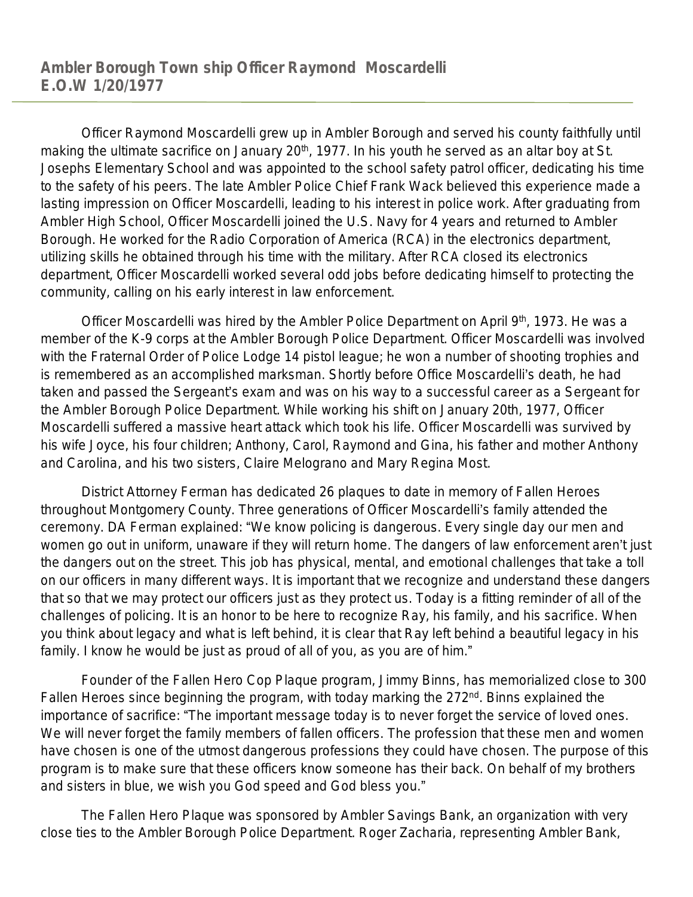Officer Raymond Moscardelli grew up in Ambler Borough and served his county faithfully until making the ultimate sacrifice on January 20<sup>th</sup>, 1977. In his youth he served as an altar boy at St. Josephs Elementary School and was appointed to the school safety patrol officer, dedicating his time to the safety of his peers. The late Ambler Police Chief Frank Wack believed this experience made a lasting impression on Officer Moscardelli, leading to his interest in police work. After graduating from Ambler High School, Officer Moscardelli joined the U.S. Navy for 4 years and returned to Ambler Borough. He worked for the Radio Corporation of America (RCA) in the electronics department, utilizing skills he obtained through his time with the military. After RCA closed its electronics department, Officer Moscardelli worked several odd jobs before dedicating himself to protecting the community, calling on his early interest in law enforcement.

Officer Moscardelli was hired by the Ambler Police Department on April 9<sup>th</sup>, 1973. He was a member of the K-9 corps at the Ambler Borough Police Department. Officer Moscardelli was involved with the Fraternal Order of Police Lodge 14 pistol league; he won a number of shooting trophies and is remembered as an accomplished marksman. Shortly before Office Moscardelli's death, he had taken and passed the Sergeant's exam and was on his way to a successful career as a Sergeant for the Ambler Borough Police Department. While working his shift on January 20th, 1977, Officer Moscardelli suffered a massive heart attack which took his life. Officer Moscardelli was survived by his wife Joyce, his four children; Anthony, Carol, Raymond and Gina, his father and mother Anthony and Carolina, and his two sisters, Claire Melograno and Mary Regina Most.

District Attorney Ferman has dedicated 26 plaques to date in memory of Fallen Heroes throughout Montgomery County. Three generations of Officer Moscardelli's family attended the ceremony. DA Ferman explained: "We know policing is dangerous. Every single day our men and women go out in uniform, unaware if they will return home. The dangers of law enforcement aren't just the dangers out on the street. This job has physical, mental, and emotional challenges that take a toll on our officers in many different ways. It is important that we recognize and understand these dangers that so that we may protect our officers just as they protect us. Today is a fitting reminder of all of the challenges of policing. It is an honor to be here to recognize Ray, his family, and his sacrifice. When you think about legacy and what is left behind, it is clear that Ray left behind a beautiful legacy in his family. I know he would be just as proud of all of you, as you are of him."

Founder of the Fallen Hero Cop Plaque program, Jimmy Binns, has memorialized close to 300 Fallen Heroes since beginning the program, with today marking the  $272<sup>nd</sup>$ . Binns explained the importance of sacrifice: "The important message today is to never forget the service of loved ones. We will never forget the family members of fallen officers. The profession that these men and women have chosen is one of the utmost dangerous professions they could have chosen. The purpose of this program is to make sure that these officers know someone has their back. On behalf of my brothers and sisters in blue, we wish you God speed and God bless you."

The Fallen Hero Plaque was sponsored by Ambler Savings Bank, an organization with very close ties to the Ambler Borough Police Department. Roger Zacharia, representing Ambler Bank,